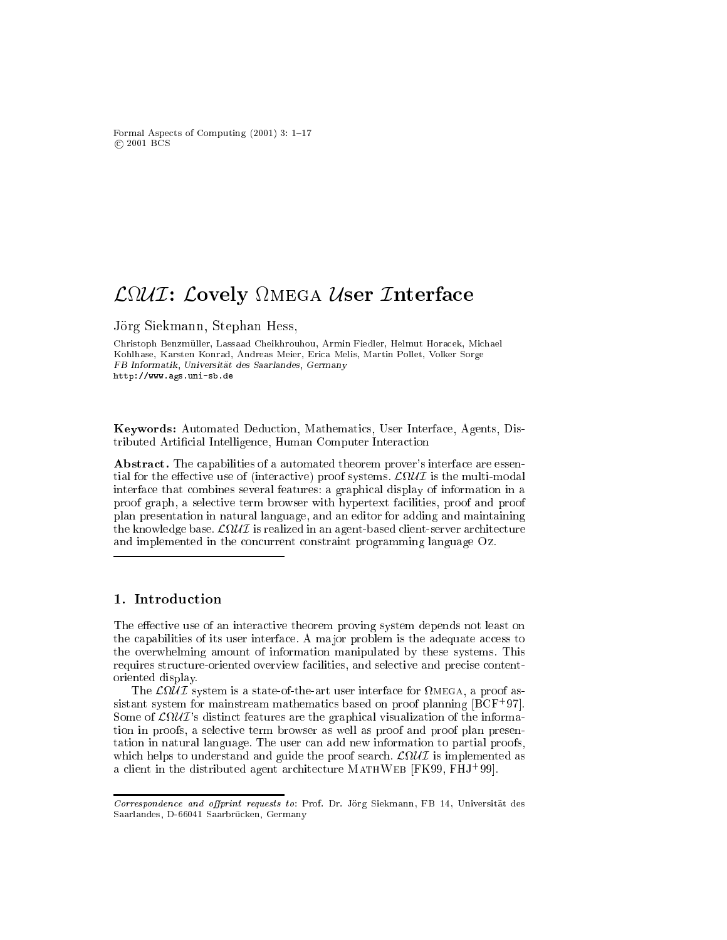Formal Aspects of Computing  $(2001)$  3: 1-17 2001 BCS

# L U I: Lovely mega User Interfa
e

Jorg Siekmann, Stephan Hess,

Christoph Benzmüller, Lassaad Cheikhrouhou, Armin Fiedler, Helmut Horacek, Michael Kohlhase, Karsten Konrad, Andreas Meier, Eri
a Melis, Martin Pollet, Volker Sorge FB Informatik, Universitat des Saarlandes, Germany http://www.ags.uni-sb.de

Keywords: Automated Dedu
tion, Mathemati
s, User Interfa
e, Agents, Distributed Artificial Intelligence, Human Computer Interaction

Abstract. The capabilities of a automated theorem prover's interface are essentime is the effective user of (interactive) proof systems. Lucium is the multi-model interfa
e that ombines several features: a graphi
al display of information in a proof graph, a sele
tive term browser with hypertext fa
ilities, proof and proof plan presentation in natural language, and an editor for adding and maintaining the contract of the strongles in a strongles in an angles to the server are contract to the server and and implemented in the concurrent constraint programming language Oz.

#### 1. Introdu
tion

The effective use of an interactive theorem proving system depends not least on the capabilities of its user interface. A major problem is the adequate access to the overwhelming amount of information manipulated by these systems. This requires structure oriented overview facilities, and selective and precise contentoriented display.

a state-of-the-art user is a state-of-the-art user interface interface the state  $\sim$  proof assistant system for mainstream mathematics based on proof planning  $[BCF^+97]$ . Some of  $\mathcal{L}\Omega\mathcal{U}\mathcal{I}$ 's distinct features are the graphical visualization of the information in proofs, a sele
tive term browser as well as proof and proof plan presentation in natural language. The user can add new information to partial proofs, which develops to understand and guide the proof search and proof search and complemented as a client in the distributed agent architecture MATHWEB [FK99, FHJ+99].

Correspondence and offprint requests to: Prof. Dr. Jörg Siekmann, FB 14, Universität des Saarlandes, D-66041 Saarbrücken, Germany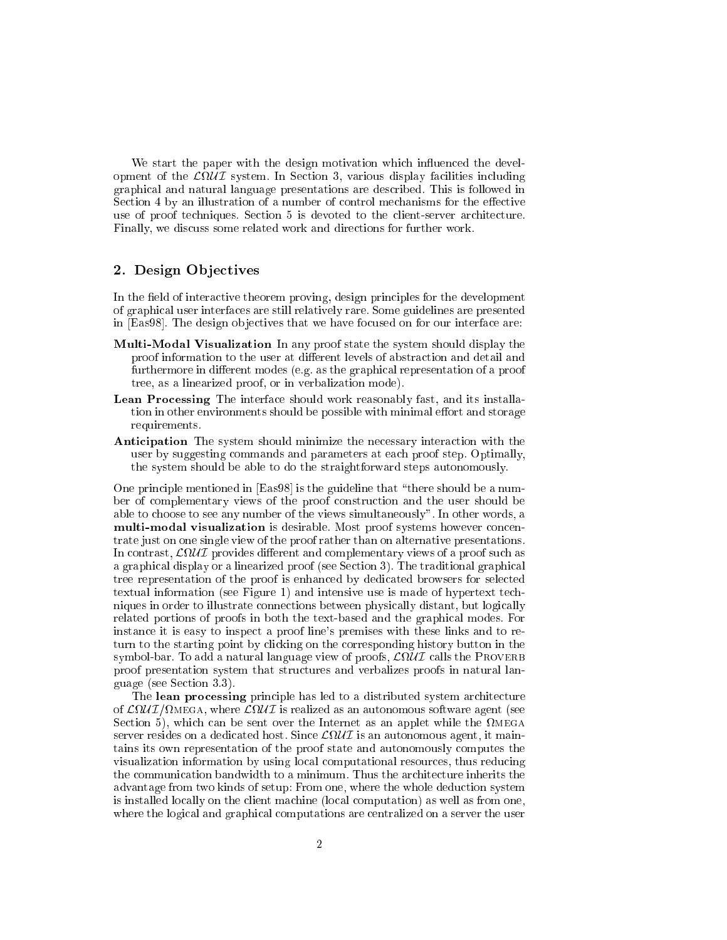We start the paper with the design motivation which influenced the development of the <sup>L</sup>U I system. In Se
tion 3, various display fa
ilities in
luding graphi
al and natural language presentations are des
ribed. This is followed in Section 4 by an illustration of a number of control mechanisms for the effective use of proof techniques. Section 5 is devoted to the client-server architecture. Finally, we discuss some related work and directions for further work.

### 2. Design Objectives

In the field of interactive theorem proving, design principles for the development of graphi
al user interfa
es are still relatively rare. Some guidelines are presented in [Eas98]. The design objectives that we have focused on for our interface are:

- Multi-Modal Visualization In any proof state the system should display the proof information to the user at different levels of abstraction and detail and furthermore in different modes (e.g. as the graphical representation of a proof tree, as a linearized proof, or in verbalization mode).
- Lean Processing The interface should work reasonably fast, and its installation in other environments should be possible with minimal effort and storage requirements.
- **Anticipation** The system should minimize the necessary interaction with the user by suggesting ommands and parameters at ea
h proof step. Optimally, the system should be able to do the straightforward steps autonomously.

One principle mentioned in [Eas98] is the guideline that "there should be a number of omplementary views of the proof onstru
tion and the user should be able to hoose to see any number of the views simultaneously". In other words, a multi-modal visualization is desirable. Most proof systems however concentrate just on one single view of the proof rather than on alternative presentations. om contrast, April 1980 – December and Supplementary views of a provides discussed and a provide a proof such a graphical display or a linearized proof (see Section 3). The traditional graphical tree representation of the proof is enhan
ed by dedi
ated browsers for sele
ted textual information (see Figure 1) and intensive use is made of hypertext te
hniques in order to illustrate onne
tions between physi
ally distant, but logi
ally related portions of proofs in both the text-based and the graphi
al modes. For instan
e it is easy to inspe
t a proof line's premises with these links and to return to the starting point by clicking on the corresponding history button in the symbol-bar. To add a natural language view of proofs, <sup>L</sup>U I alls the Proverb proof presentation system that stru
tures and verbalizes proofs in natural language (see Se
tion 3.3).

The lean processing principle has led to a distributed system architecture of LU III is realized as an autonomous software as a construction and all interests as an automous software ag section to an ancient comment as an applet which which can also the internet which comment which the commentation server resident on a dedicated model, where specific as an autonomous as appearing to model tains its own representation of the proof state and autonomously omputes the visualization information by using lo
al omputational resour
es, thus redu
ing the communication bandwidth to a minimum. Thus the architecture inherits the advantage from two kinds of setup: From one, where the whole deduction system is installed lo
ally on the lient ma
hine (lo
al omputation) as well as from one, where the logical and graphical computations are centralized on a server the user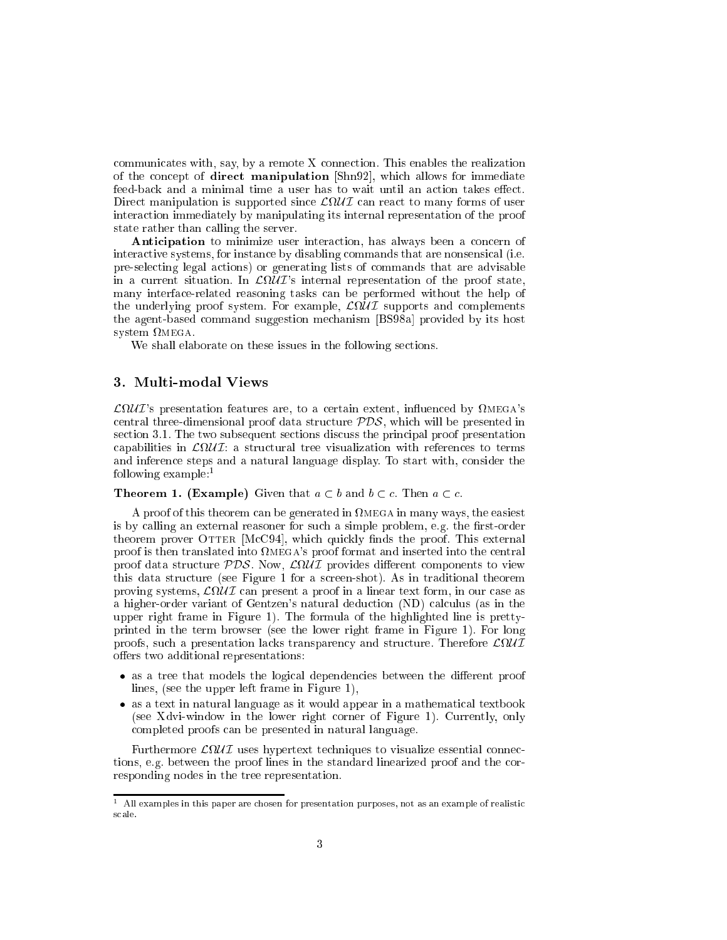$communicates with, say, by a remote X connection. This enables the realization\n $\mathcal{L}(\mathcal{L}) = \mathcal{L}(\mathcal{L})$$ of the concept of direct manipulation [Shn92], which allows for immediate feed-back and a minimal time a user has to wait until an action takes effect. t to manipulation is supported since  $\mathcal{L}$  in the supported since  $\mathcal{L}$  and  $\mathcal{L}$ intera
tion immediately by manipulating its internal representation of the proof state rather than alling the server.

Anticipation to minimize user interaction, has always been a concern of intera
tive systems, for instan
e by disabling ommands that are nonsensi
al (i.e. pre-sele
ting legal a
tions) or generating lists of ommands that are advisable in a current situation. In  $\mathcal{L}\Omega\mathcal{U}\mathcal{I}'$ 's internal representation of the proof state, many interfa
e-related reasoning tasks an be performed without the help of the underlying proof system. For example, <sup>L</sup>U I supports and omplements the agent-based command suggestion mechanism [BS98a] provided by its host system mega.

We shall elaborate on these issues in the following sections.

#### 3. Multi-modal Views

 $\mathcal{L}\Omega\mathcal{U}\mathcal{I}$ 's presentation features are, to a certain extent, influenced by  $\Omega$ MEGA's entral three-dimensional proof data stru
ture PDS, whi
h will be presented in se
tion 3.1. The two subsequent se
tions dis
uss the prin
ipal proof presentation appent the structure is to the structure of the structure of the structure is to terms and the structure and inferen
e steps and a natural language display. To start with, onsider the following example:<sup>1</sup>

#### **Theorem 1. (Example)** Given that  $a \subset b$  and  $b \subset c$ . Then  $a \subset c$ .

A proof of this theorem an be generated in mega in many ways, the easiest is by calling an external reasoner for such a simple problem, e.g. the first-order theorem prover OTTER [McC94], which quickly finds the proof. This external proof is then translated into  $\Omega$ MEGA's proof format and inserted into the central proof data structure , recovery with provides different to dependence and the structure this data structure (see Figure 1 for a screen-shot). As in traditional theorem proving systems, Arryla come present a province a material control in a line and the s a higher-order variant of Gentzen's natural deduction (ND) calculus (as in the upper right frame in Figure 1). The formula of the highlighted line is prettyprinted in the term browser (see the lower right frame in Figure 1). For long proofs, su
h a presentation la
ks transparen
y and stru
ture. Therefore <sup>L</sup>U I offers two additional representations:

- as a tree that models the logical dependencies between the different proof lines, (see the upper left frame in Figure 1),
- as a text in natural language as it would appear in a mathematical textbook (see Xdvi-window in the lower right orner of Figure 1). Currently, only ompleted proofs an be presented in natural language.

Furthermore <sup>L</sup>U I uses hypertext te
hniques to visualize essential onne
 tions, e.g. between the proof lines in the standard linearized proof and the orresponding nodes in the tree representation.

 $\,$  - All examples in this paper are chosen for presentation purposes, not as an example of realistic scale.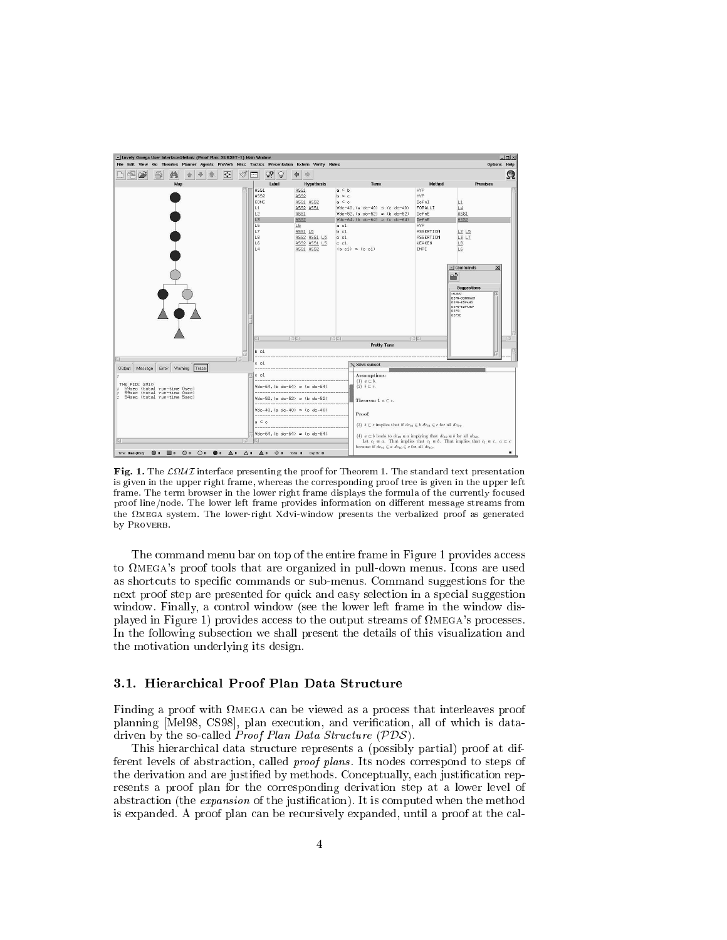

Fig. 1. The <sup>L</sup>U I interfa
e presenting the proof for Theorem 1. The standard text presentation is given in the upper right frame, whereas the orresponding proof tree is given in the upper left frame. The term browser in the lower right frame displays the formula of the currently focused proof line/node. The lower left frame provides information on different message streams from the mega system. The lower-right Xdvi-window presents the verbalized proof as generated by PROVERB.

The command menu bar on top of the entire frame in Figure 1 provides access to  $\Omega$ MEGA's proof tools that are organized in pull-down menus. Icons are used as shortcuts to specific commands or sub-menus. Command suggestions for the next proof step are presented for quick and easy selection in a special suggestion window. Finally, a control window (see the lower left frame in the window displayed in Figure 1) provides access to the output streams of  $\Omega_{\text{MEGA}}$ 's processes. In the following subse
tion we shall present the details of this visualization and the motivation underlying its design.

#### 3.1. Hierar
hi
al Proof Plan Data Stru
ture

Finding a proof with mega an be viewed as a pro
ess that interleaves proof planning [Mel98, CS98], plan execution, and verification, all of which is datadriven by the so-called *Proof Plan Data Structure*  $(PDS)$ .

This hierar
hi
al data stru
ture represents a (possibly partial) proof at different levels of abstraction, called *proof plans*. Its nodes correspond to steps of the derivation and are justified by methods. Conceptually, each justification represents a proof plan for the orresponding derivation step at a lower level of abstraction (the *expansion* of the justification). It is computed when the method is expanded. A proof plan can be recursively expanded, until a proof at the cal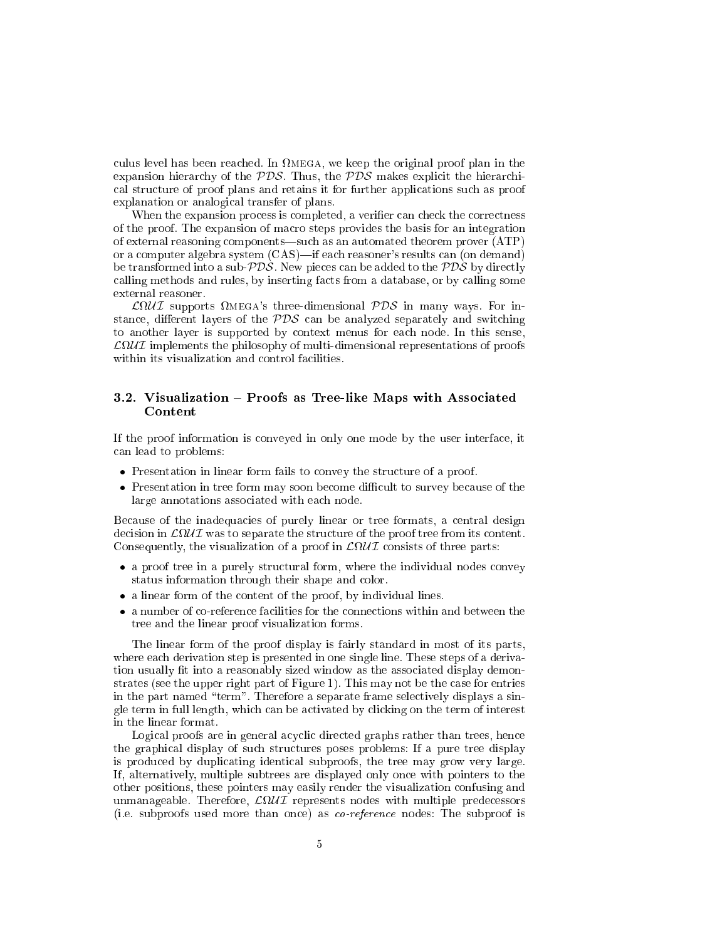ulus level has been real proof plan in the original proof plan in the original proof plan in the original proof expansion hierarchy of the  $PDS$ . Thus, the  $PDS$  makes explicit the hierarchical structure of proof plans and retains it for further applications such as proof explanation or analogi
al transfer of plans.

When the expansion process is completed, a verifier can check the correctness of the proof. The expansion of ma
ro steps provides the basis for an integration of external reasoning components—such as an automated theorem prover  $(ATP)$ or a computer algebra system (CAS)—if each reasoner's results can (on demand) be transformed into a sub- $PDS$ . New pieces can be added to the  $PDS$  by directly calling methods and rules, by inserting facts from a database, or by calling some external reasoner.

 $\mathcal{L}\Omega\mathcal{U}\mathcal{I}$  supports  $\Omega$ MEGA's three-dimensional  $\mathcal{PDS}$  in many ways. For instance, different layers of the  $PDS$  can be analyzed separately and switching to another layer is supported by ontext menus for ea
h node. In this sense, L U I implements the philosophy of multi-dimensional representations of proofs within its visualization and control facilities.

#### 3.2. Visualization - Proofs as Tree-like Maps with Associated Content

If the proof information is onveyed in only one mode by the user interfa
e, it an lead to problems:

- Presentation in linear form fails to convey the structure of a proof.
- Presentation in tree form may soon become difficult to survey because of the large annotations asso
iated with ea
h node.

Because of the inadequacies of purely linear or tree formats, a central design de ision in LU i was to separate the structure of the structure of the proof tree from its proof tree from its Consequently, the visualization of a proof in <sup>L</sup>U I onsists of three parts:

- a proof tree in a purely structural form, where the individual nodes convey status information through their shape and color.
- a linear form of the content of the proof, by individual lines.
- a number of co-reference facilities for the connections within and between the tree and the linear proof visualization forms.

The linear form of the proof display is fairly standard in most of its parts, where ea
h derivation step is presented in one single line. These steps of a derivation usually fit into a reasonably sized window as the associated display demonstrates (see the upper right part of Figure 1). This may not be the ase for entries in the part named "term". Therefore a separate frame selectively displays a single term in full length, which can be activated by clicking on the term of interest in the linear format.

Logical proofs are in general acyclic directed graphs rather than trees, hence the graphical display of such structures poses problems: If a pure tree display is produ
ed by dupli
ating identi
al subproofs, the tree may grow very large. If, alternatively, multiple subtrees are displayed only on
e with pointers to the other positions, these pointers may easily render the visualization onfusing and unmanageable. Therefore, LU is no designed predetermine predetermine predetermine predetermine predetermine pr (i.e. subproofs used more than on
e) as o-referen
e nodes: The subproof is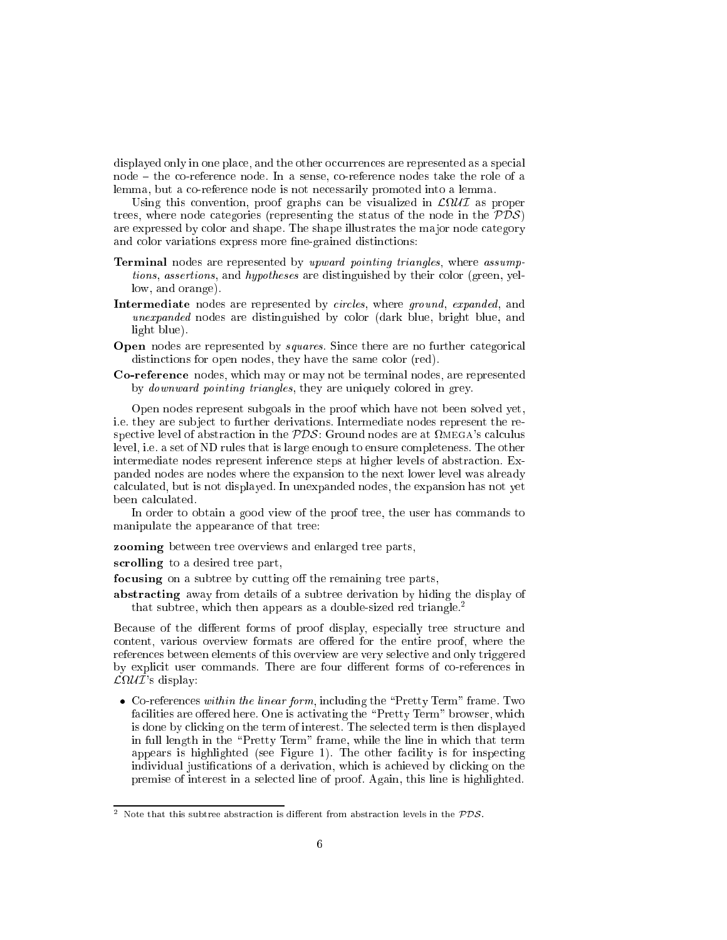displayed only in one place, and the other occurrences are represented as a special node { the o-referen
e node. In a sense, o-referen
e nodes take the role of a lemma, but a o-referen
e node is not ne
essarily promoted into a lemma.

Using this onvention, proof graphs an be visualized in <sup>L</sup>U I as proper trees, where node categories (representing the status of the node in the  $PDS$ ) are expressed by olor and shape. The shape illustrates the ma jor node ategory and color variations express more fine-grained distinctions:

- Terminal nodes are represented by upward pointing triangles, where assumptions, assertions, and hypotheses are distinguished by their color (green, yellow, and orange).
- Intermediate nodes are represented by *circles*, where *ground*, *expanded*, and unexpanded nodes are distinguished by color (dark blue, bright blue, and light blue).
- Open nodes are represented by *squares*. Since there are no further categorical distinctions for open nodes, they have the same color (red).
- Co-referen
e nodes, whi
h may or may not be terminal nodes, are represented by *downward pointing triangles*, they are uniquely colored in grey.

Open nodes represent subgoals in the proof whi
h have not been solved yet, i.e. they are subject to further derivations. Intermediate nodes represent the respective level of abstraction in the  $\mathcal{PDS}$ : Ground nodes are at  $\Omega$ MEGA's calculus level, i.e. a set of ND rules that is large enough to ensure ompleteness. The other intermediate nodes represent inferen
e steps at higher levels of abstra
tion. Expanded nodes are nodes where the expansion to the next lower level was already al
ulated, but is not displayed. In unexpanded nodes, the expansion has not yet been al
ulated.

In order to obtain a good view of the proof tree, the user has commands to manipulate the appearan
e of that tree:

zooming between tree overviews and enlarged tree parts,

scrolling to a desired tree part,

focusing on a subtree by cutting off the remaining tree parts,

abstracting away from details of a subtree derivation by hiding the display of that subtree, which then appears as a double-sized red triangle.<sup>2</sup>

Because of the different forms of proof display, especially tree structure and content, various overview formats are offered for the entire proof, where the referen
es between elements of this overview are very sele
tive and only triggered by explicit user commands. There are four different forms of co-references in  $\mathcal{L}\Omega \mathcal{U} \mathcal{I}$ 's display:

• Co-references within the linear form, including the "Pretty Term" frame. Two facilities are offered here. One is activating the "Pretty Term" browser, which is done by clicking on the term of interest. The selected term is then displayed in full length in the "Pretty Term" frame, while the line in which that term appears is highlighted (see Figure 1). The other facility is for inspecting individual justifications of a derivation, which is achieved by clicking on the premise of interest in a sele
ted line of proof. Again, this line is highlighted.

<sup>-</sup> ivote that this subtree abstraction is different from abstraction levels in the PDS.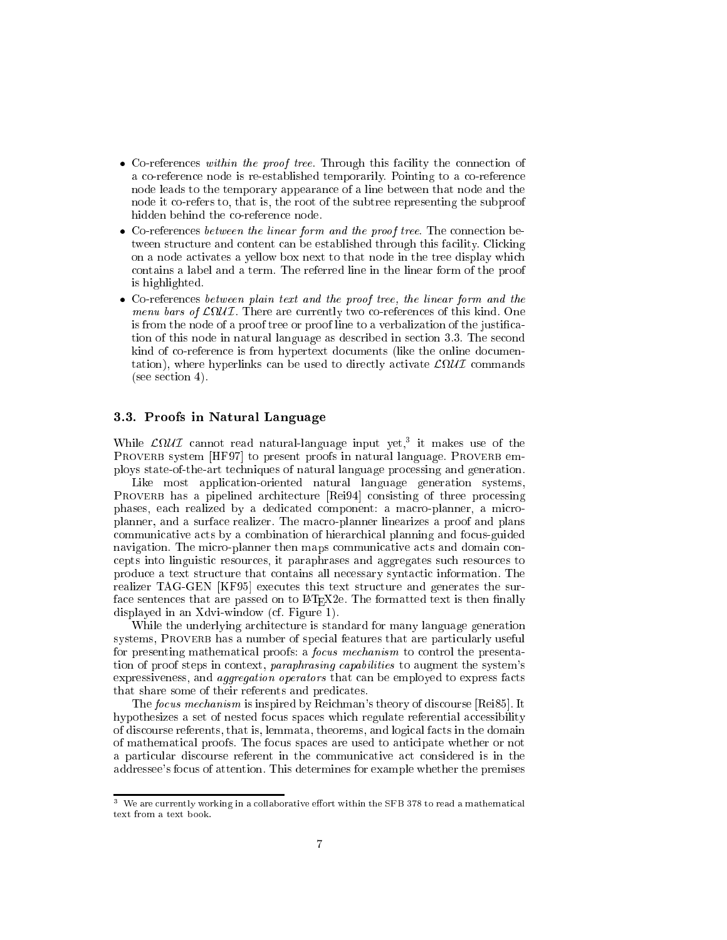- Co-references within the proof tree. Through this facility the connection of a co-reference node is re-established temporarily. Pointing to a co-reference node leads to the temporary appearan
e of a line between that node and the node it o-refers to, that is, the root of the subtree representing the subproof hidden behind the o-referen
e node.
- Co-references between the linear form and the proof tree. The connection between structure and content can be established through this facility. Clicking on a node activates a yellow box next to that node in the tree display which ontains a label and a term. The referred line in the linear form of the proof is highlighted.
- Co-referen
es between plain text and the proof tree, the linear form and the menu bars of LU I. There are ferences of LU I. There are ferences are ferences of this kind. One of this kind. One of this kind. One of this kind. One of this kind. One of this kind. One of this kind. One of this kind. One is from the node of a proof tree or proof line to a verbalization of the justification of this node in natural language as described in section 3.3. The second kind of co-reference is from hypertext documents (like the online documentation, where hyperlinks and the use the use of the contract of the second service of the contract of the contract of (see se
tion 4).

#### 3.3. Proofs in Natural Language

While  $\mathcal{L} \Omega \mathcal{U} \mathcal{I}$  cannot read natural-language input yet,<sup>3</sup> it makes use of the PROVERB system [HF97] to present proofs in natural language. PROVERB employs state-of-the-art te
hniques of natural language pro
essing and generation.

Like most application-oriented natural language generation systems, PROVERB has a pipelined architecture [Rei94] consisting of three processing phases, each realized by a dedicated component: a macro-planner, a microplanner, and a surfa
e realizer. The ma
ro-planner linearizes a proof and plans communicative acts by a combination of hierarchical planning and focus-guided navigation. The micro-planner then maps communicative acts and domain conepts into linguisti resour
es, it paraphrases and aggregates su
h resour
es to produce a text structure that contains all necessary syntactic information. The realizer TAG-GEN [KF95] executes this text structure and generates the surface sentences that are passed on to LAT<sub>E</sub>X2e. The formatted text is then finally displayed in an Xdvi-window (
f. Figure 1).

While the underlying architecture is standard for many language generation systems, PROVERB has a number of special features that are particularly useful for presenting mathematical proofs: a *focus mechanism* to control the presentation of proof steps in context, paraphrasing capabilities to augment the system's expressiveness, and *aggregation operators* that can be employed to express facts that share some of their referents and predicates.

The focus mechanism is inspired by Reichman's theory of discourse [Rei85]. It hypothesizes a set of nested focus spaces which regulate referential accessibility of dis
ourse referents, that is, lemmata, theorems, and logi
al fa
ts in the domain of mathemati
al proofs. The fo
us spa
es are used to anti
ipate whether or not a particular discourse referent in the communicative act considered is in the addressee's fo
us of attention. This determines for example whether the premises

 $\,$  - we are currently working in a conaborative enort within the SFB 378 to read a mathematical text from a text book.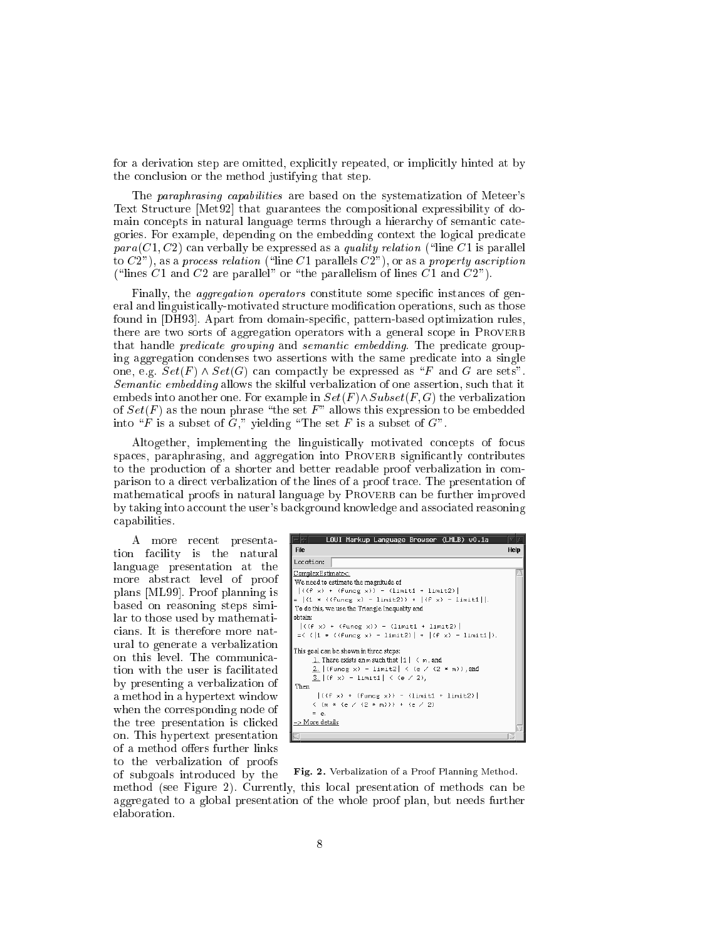for a derivation step are omitted, explicitly repeated, or implicitly hinted at by the on
lusion or the method justifying that step.

The paraphrasing capabilities are based on the systematization of Meteer's Text Structure [Met92] that guarantees the compositional expressibility of domain concepts in natural language terms through a hierarchy of semantic categories. For example, depending on the embedding ontext the logi
al predi
ate  $para(C1, C2)$  can verbally be expressed as a *quality relation* ("line C1 is parallel to  $C2$ "), as a process relation ("line C1 parallels  $C2$ "), or as a property ascription ("lines C1 and C2 are parallel" or "the parallelism of lines  $\overline{C1}$  and  $\overline{C2}$ ").

Finally, the *aggregation operators* constitute some specific instances of general and linguistically-motivated structure modification operations, such as those found in [DH93]. Apart from domain-specific, pattern-based optimization rules, there are two sorts of aggregation operators with a general scope in PROVERB that handle *predicate grouping* and *semantic embedding*. The predicate grouping aggregation condenses two assertions with the same predicate into a single one, e.g.  $Set(F) \wedge Set(G)$  can compactly be expressed as "F and G are sets". Semantic embedding allows the skilful verbalization of one assertion, such that it embeds into another one. For example in  $Set(F) \wedge Subset(F, G)$  the verbalization of  $Set(F)$  as the noun phrase "the set F" allows this expression to be embedded into "F is a subset of G," yielding "The set F is a subset of  $G$ ".

Altogether, implementing the linguisti
ally motivated on
epts of fo
us spaces, paraphrasing, and aggregation into PROVERB significantly contributes to the production of a shorter and better readable proof verbalization in comparison to a dire
t verbalization of the lines of a proof tra
e. The presentation of mathematical proofs in natural language by PROVERB can be further improved by taking into account the user's background knowledge and associated reasoning apabilities.

A more re
ent presentation facility is the natural language presentation at the more abstract level of proof plans [ML99]. Proof planning is based on reasoning steps similar to those used by mathemati cians. It is therefore more natural to generate a verbalization on this level. The ommuni
ation with the user is facilitated by presenting a verbalization of a method in a hypertext window when the orresponding node of the tree presentation is clicked on. This hypertext presentation of a method offers further links to the verbalization of proofs of subgoals introdu
ed by the

| LOUI Markup Language Browser (LMLB) v0.1a                                                                                                                                                       |      |
|-------------------------------------------------------------------------------------------------------------------------------------------------------------------------------------------------|------|
| <b>File</b>                                                                                                                                                                                     | Help |
| Location:                                                                                                                                                                                       |      |
| ComplexEstimate<:                                                                                                                                                                               |      |
| We need to estimate the magnitude of                                                                                                                                                            |      |
| $\left  \left( \left( f \right  x \right) + \left( f \right  \left( f \right  x \right) \right) - \left( \left  f \right  \left( f \right  + \left  f \right  \left( f \right) \right) \right $ |      |
| =  (1 * ((funcg x) - limit2)) +  (f x) - limit1  .                                                                                                                                              |      |
| To do this, we use the Triangle Inequality and                                                                                                                                                  |      |
| obtain:                                                                                                                                                                                         |      |
| $\left  \left( \left( f \times \right) + \left( f \right) \right  \right $ = $\left( \lim_{x \to \infty} f \right)$ = $\left  \left( \lim_{x \to \infty} f \right) \right $                     |      |
| =< $( 1 * (funeg x) - limit2)  +  (f x) - limit1 )$ .                                                                                                                                           |      |
| This goal can be shown in three steps:                                                                                                                                                          |      |
| 1. There exists an $m$ such that $ 1  \le m$ , and                                                                                                                                              |      |
| 2. (funcg x) - limit2 $\langle$ $($ e $\angle$ $(2 * m)$ ), and                                                                                                                                 |      |
| 3. $  (f x) - 1$ imit1 $  (e 2)$ ,                                                                                                                                                              |      |
| Then                                                                                                                                                                                            |      |
| $\left  \left( \left( f \times \right) + \left( f \right) \right  \right $ = $\left( \text{limit 1 + limit 2} \right)$                                                                          |      |
| $\langle$ (m $*$ (e $\angle$ (2 $*$ m))) + (e $\angle$ 2)                                                                                                                                       |      |
| $=$ $e$ .                                                                                                                                                                                       |      |
| $>$ More details                                                                                                                                                                                |      |
|                                                                                                                                                                                                 |      |

Fig. 2. Verbalization of a Proof Planning Method.

method (see Figure 2). Currently, this lo
al presentation of methods an be aggregated to a global presentation of the whole proof plan, but needs further elaboration.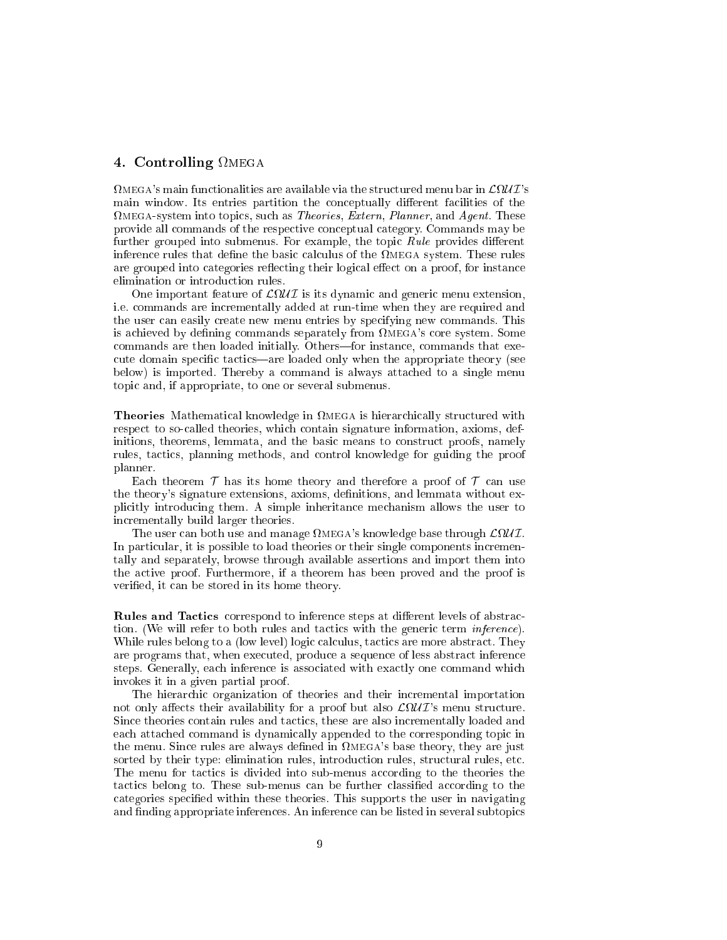#### 4. Controlling mega

 $\Omega$ MEGA's main functionalities are available via the structured menu bar in  $\mathcal{L}\Omega\mathcal{U}\mathcal{I}'$ 's main window. Its entries partition the conceptually different facilities of the mega-system into topi
s, su
h as Theories, Extern, Planner, and Agent. These provide all ommands of the respe
tive on
eptual ategory. Commands may be further grouped into submenus. For example, the topic Rule provides different inferences that definition and the basic that definition and the basic the basic theory is the basic theory of are grouped into categories reflecting their logical effect on a proof, for instance elimination or introdu
tion rules.

One important feature of <sup>L</sup>U I is its dynami and generi menu extension, i.e. commands are incrementally added at run-time when they are required and the user can easily create new menu entries by specifying new commands. This is achieved by defining commands separately from  $\Omega_{\text{MEGA}}$ 's core system. Some commands are then loaded initially. Others—for instance, commands that execute domain specific tactics—are loaded only when the appropriate theory (see below) is imported. Thereby a ommand is always atta
hed to a single menu topi and, if appropriate, to one or several submenus.

Theories Mathemati
al knowledge in mega is hierar
hi
ally stru
tured with respe
t to soalled theories, whi
h ontain signature information, axioms, definitions, theorems, lemmata, and the basic means to construct proofs, namely rules, tactics, planning methods, and control knowledge for guiding the proof planner.

Each theorem  $\mathcal T$  has its home theory and therefore a proof of  $\mathcal T$  can use the theory's signature extensions, axioms, definitions, and lemmata without expli
itly introdu
ing them. A simple inheritan
e me
hanism allows the user to in
rementally build larger theories.

The user can both use and manage  $\Omega_{\text{MEGA}}$ 's knowledge base through  $\mathcal{L}\Omega\mathcal{U}\mathcal{I}$ . In particular, it is possible to load theories or their single components incrementally and separately, browse through available assertions and import them into the a
tive proof. Furthermore, if a theorem has been proved and the proof is veried, it an be stored in its home theory.

**Rules and Tactics** correspond to inference steps at different levels of abstraction. (We will refer to both rules and tactics with the generic term *inference*). While rules belong to a (low level) logic calculus, tactics are more abstract. They are programs that, when executed, produce a sequence of less abstract inference steps. Generally, each inference is associated with exactly one command which invokes it in a given partial proof.

The hierarchic organization of theories and their incremental importation not only affects their availability for a proof but also  $\mathcal{L}\Omega \mathcal{U} \mathcal{I}$ 's menu structure. Since theories contain rules and tactics, these are also incrementally loaded and each attached command is dynamically appended to the corresponding topic in the menu. Since rules are always defined in  $\Omega$ MEGA's base theory, they are just sorted by their type: elimination rules, introduction rules, structural rules, etc. The menu for tactics is divided into sub-menus according to the theories the tactics belong to. These sub-menus can be further classified according to the categories specified within these theories. This supports the user in navigating and finding appropriate inferences. An inference can be listed in several subtopics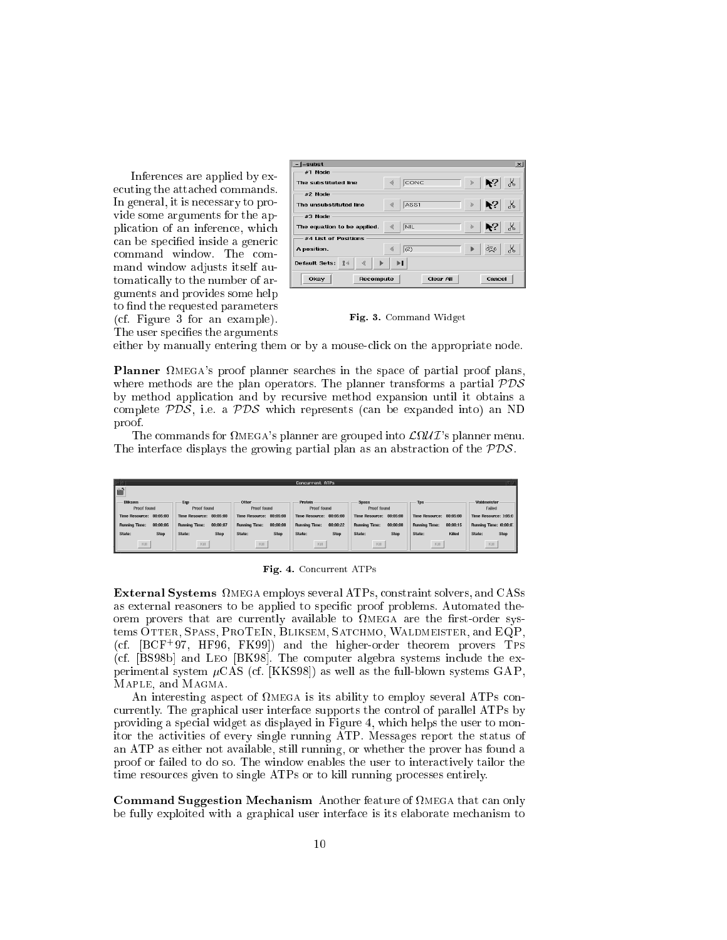Inferen
es are applied by executing the attached commands. In general, it is ne
essary to provide some arguments for the appli
ation of an inferen
e, whi
h can be specified inside a generic command window. The command window adjusts itself automati
ally to the number of arguments and provides some help to find the requested parameters (
f. Figure 3 for an example). The user specifies the arguments



Fig. 3. Command Widget

either by manually entering them or by a mouse-click on the appropriate node.

**Planner**  $\Omega$ MEGA's proof planner searches in the space of partial proof plans, where methods are the plan operators. The planner transforms a partial  $PDS$ by method appli
ation and by re
ursive method expansion until it obtains a complete  $PDS$ , i.e. a  $PDS$  which represents (can be expanded into) an ND proof.

The commands for  $\Omega$ MEGA's planner are grouped into  $\mathcal{L}\Omega\mathcal{U}\mathcal{I}$ 's planner menu. The interface displays the growing partial plan as an abstraction of the  $PDS$ .

|                                  |                                  |                                  | Concurrent ATPs                  |                                   |                                   |                               |
|----------------------------------|----------------------------------|----------------------------------|----------------------------------|-----------------------------------|-----------------------------------|-------------------------------|
| ιĒΪ                              |                                  |                                  |                                  |                                   |                                   |                               |
| <b>Bliksem</b><br>Proof found    | Eqp<br>Proof found               | Otter<br>Proof found             | Protein<br>Proof found           | <b>Spass</b><br>Proof found       | <b>Tps</b>                        | Waldmeister<br>Failed         |
| 00:05:00<br>Time Resource:       | Time Resource: 00:05:00          | Time Resource: 00:05:00          | Time Resource: 00:05:00          | 00:05:00<br><b>Time Resource:</b> | 00:05:00<br><b>Time Resource:</b> | Time Resource: 3:05:0         |
| 00:00:06<br><b>Running Time:</b> | 00:00:07<br><b>Running Time:</b> | <b>Running Time:</b><br>00:00:08 | 00:00:22<br><b>Running Time:</b> | <b>Running Time:</b><br>00:00:08  | <b>Running Time:</b><br>00:00:15  | <b>Running Time: 10:00:0:</b> |
| State:<br>Stop                   | <b>Stop</b><br>State:            | State:<br><b>Stop</b>            | State:<br><b>Stop</b>            | State:<br><b>Stop</b>             | Killed<br>State:                  | Stop<br>State:                |
| Kill                             | Kill                             | Kill                             | Kill                             | Kill                              | Kill                              | Kill                          |

**- Q.** - Concert At **. Con** 

External Systems mega employs several ATPs, onstraint solvers, and CASs as external reasoners to be applied to specific proof problems. Automated theorem provers that are urrently available to mega are the rst-order systems OTTER, SPASS, PROTEIN, BLIKSEM, SATCHMO, WALDMEISTER, and EQP,  $(cf. [BCF<sup>+</sup>97, HF96, FK99])$  and the higher-order theorem provers TPS (cf. [BS98b] and LEO [BK98]. The computer algebra systems include the experimental system  $\mu$ CAS (cf. [KKS98]) as well as the full-blown systems GAP, Maple, and Magma.

the contracting aspect to contract to entirely the complex process to ability to the second attack of the second currently. The graphical user interface supports the control of parallel ATPs by providing a spe
ial widget as displayed in Figure 4, whi
h helps the user to monitor the a
tivities of every single running ATP. Messages report the status of an ATP as either not available, still running, or whether the prover has found a proof or failed to do so. The window enables the user to intera
tively tailor the time resour
es given to single ATPs or to kill running pro
esses entirely.

Command Suggestion Me
hanism Another feature of mega that an only be fully exploited with a graphical user interface is its elaborate mechanism to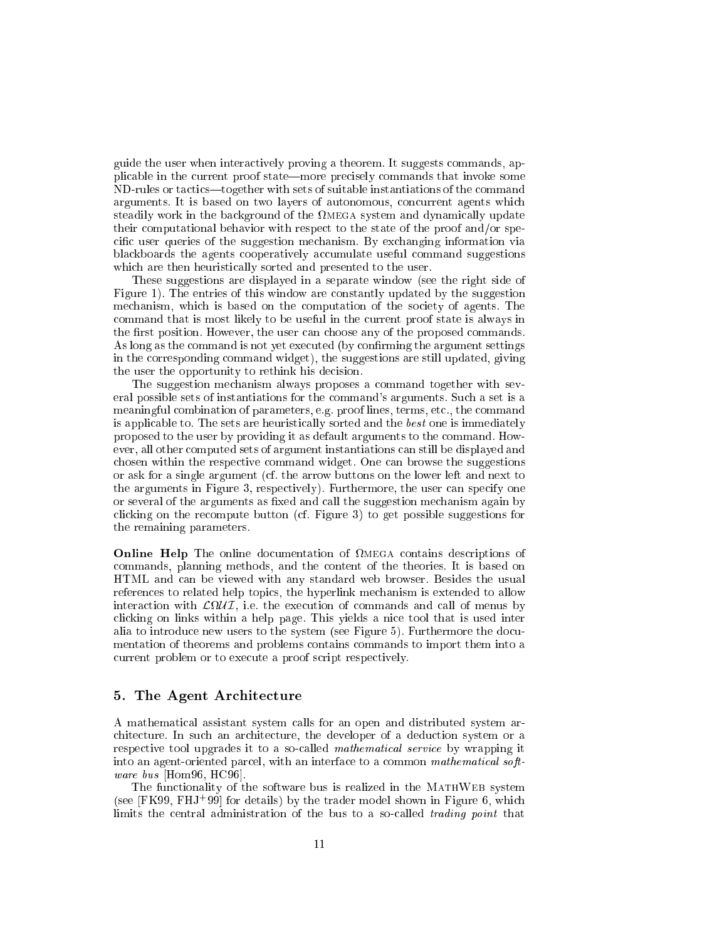guide the user when intera
tively proving a theorem. It suggests ommands, applicable in the current proof state—more precisely commands that invoke some ND-rules or tactics—together with sets of suitable instantiations of the command arguments. It is based on two layers of autonomous, concurrent agents which steadily work in the ba
kground of the mega system and dynami
ally update their omputational behavior with respe
t to the state of the proof and/or spe cific user queries of the suggestion mechanism. By exchanging information via blackboards the agents cooperatively accumulate useful command suggestions which are then heuristically sorted and presented to the user.

These suggestions are displayed in a separate window (see the right side of Figure 1). The entries of this window are constantly updated by the suggestion mechanism, which is based on the computation of the society of agents. The ommand that is most likely to be useful in the urrent proof state is always in the first position. However, the user can choose any of the proposed commands. As long as the command is not yet executed (by confirming the argument settings in the orresponding ommand widget), the suggestions are still updated, giving the user the opportunity to rethink his decision.

The suggestion me
hanism always proposes a ommand together with several possible sets of instantiations for the ommand's arguments. Su
h a set is a meaningful combination of parameters, e.g. proof lines, terms, etc., the command is appli
able to. The sets are heuristi
ally sorted and the best one is immediately proposed to the user by providing it as default arguments to the ommand. However, all other computed sets of argument instantiations can still be displayed and chosen within the respective command widget. One can browse the suggestions or ask for a single argument (
f. the arrow buttons on the lower left and next to the arguments in Figure 3, respe
tively). Furthermore, the user an spe
ify one or several of the arguments as fixed and call the suggestion mechanism again by clicking on the recompute button (cf. Figure 3) to get possible suggestions for the remaining parameters.

Online Help The online do
umentation of mega ontains des
riptions of ommands, planning methods, and the ontent of the theories. It is based on HTML and an be viewed with any standard web browser. Besides the usual referen
es to related help topi
s, the hyperlink me
hanism is extended to allow interaction with a control time the extension of the executive control to me and the extension of li
king on links within a help page. This yields a ni
e tool that is used inter alia to introdu
e new users to the system (see Figure 5). Furthermore the do
umentation of theorems and problems ontains ommands to import them into a current problem or to execute a proof script respectively.

#### 5. The Agent Ar
hite
ture

A mathemati
al assistant system alls for an open and distributed system ar hite
ture. In su
h an ar
hite
ture, the developer of a dedu
tion system or a respective tool upgrades it to a so-called *mathematical service* by wrapping it into an agent-oriented parcel, with an interface to a common mathematical software bus  $[Hom96, HC96]$ .

The functionality of the software bus is realized in the MATHWEB system (see  $[FK99, FHJ+99]$  for details) by the trader model shown in Figure 6, which limits the central administration of the bus to a so-called *trading point* that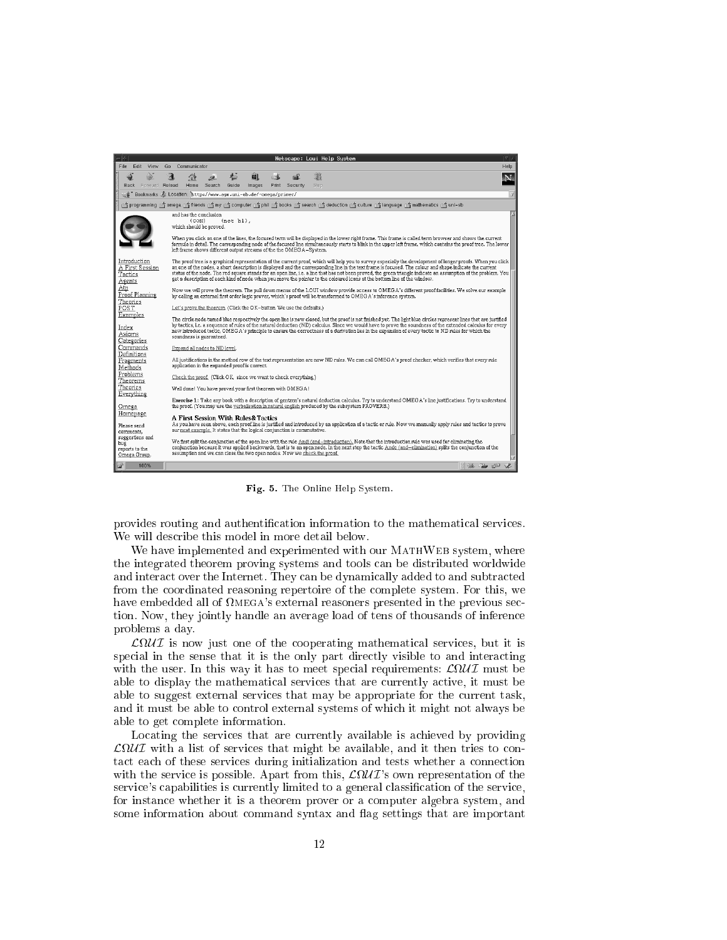

Fig. 5. The Online Help System.

provides routing and authentification information to the mathematical services. We will describe this model in more detail below.

We have implemented and experimented with our MATHWEB system, where the integrated theorem proving systems and tools an be distributed worldwide and interact over the Internet. They can be dynamically added to and subtracted from the oordinated reasoning repertoire of the omplete system. For this, we have embedded all of  $\Omega_{\text{MEGA}}$ 's external reasoners presented in the previous section. Now, they jointly handle an average load of tens of thousands of inferen
e problems a day.

al service of the service of the services of the complete mathematic mathematic mathematic mathematic mathematic special in the sense that it is the only part directly visible to and interacting with the user. In this way it has to meet specific production and the specific ordinary of  $\mathbb{R}^2$ able to display the mathematical services that are currently active, it must be able to suggest external services that may be appropriate for the current task, and it must be able to ontrol external systems of whi
h it might not always be able to get omplete information.

Locating the services that are currently available is achieved by providing esservice that might be available, and it then the services to the service to the service of the service of the tact each of these services during initialization and tests whether a connection with the service is possible. Apart from this,  $\mathcal{L}\Omega\mathcal{U} \mathcal{I}$ 's own representation of the service's capabilities is currently limited to a general classification of the service, for instan
e whether it is a theorem prover or a omputer algebra system, and some information about command syntax and flag settings that are important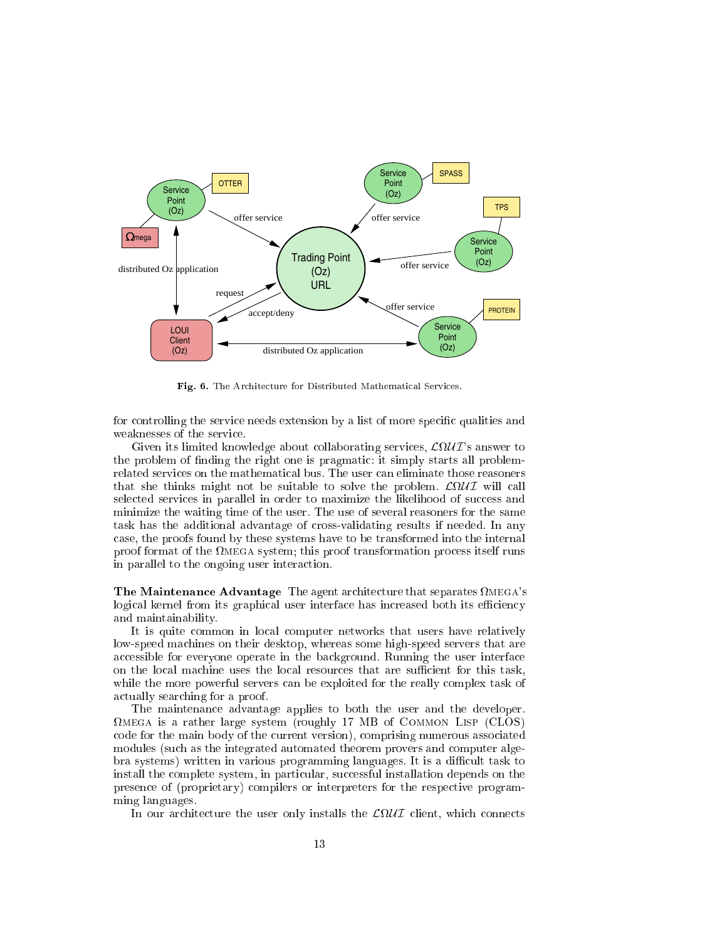

Fig. 6. The Ar
hite
ture for Distributed Mathemati
al Servi
es.

for controlling the service needs extension by a list of more specific qualities and weaknesses of the servi
e.

Given its limited knowledge about collaborating services,  $\mathcal{L}\Omega\mathcal{U}\mathcal{I}$ 's answer to the problem of finding the right one is pragmatic: it simply starts all problemthat she thinks might not be suitable to solve the problem. <sup>L</sup>U I will all selected services in parallel in order to maximize the likelihood of success and minimize the waiting time of the user. The use of several reasoners for the same task has the additional advantage of cross-validating results if needed. In any ase, the proofs found by these systems have to be transformed into the internal proof format of the mega system; this proof transformation pro
ess itself runs in parallel to the ongoing user intera
tion.

**The Maintenance Advantage** The agent architecture that separates  $\Omega$ MEGA's logical kernel from its graphical user interface has increased both its efficiency and maintainability.

It is quite ommon in lo
al omputer networks that users have relatively low-speed ma
hines on their desktop, whereas some high-speed servers that are accessible for everyone operate in the background. Running the user interface on the local machine uses the local resources that are sufficient for this task, while the more powerful servers can be exploited for the really complex task of a
tually sear
hing for a proof.

The maintenan
e advantage applies to both the user and the developer. mega is a rather large system (roughly 17 MB of Common Lisp (CLOS) ode for the main body of the urrent version), omprising numerous asso
iated modules (su
h as the integrated automated theorem provers and omputer algebra systems) written in various programming languages. It is a difficult task to install the complete system, in particular, successful installation depends on the presence of (proprietary) compilers or interpreters for the respective programming languages.

ture the user only installs the user only installs the user only installs the LU is a strategie of the user of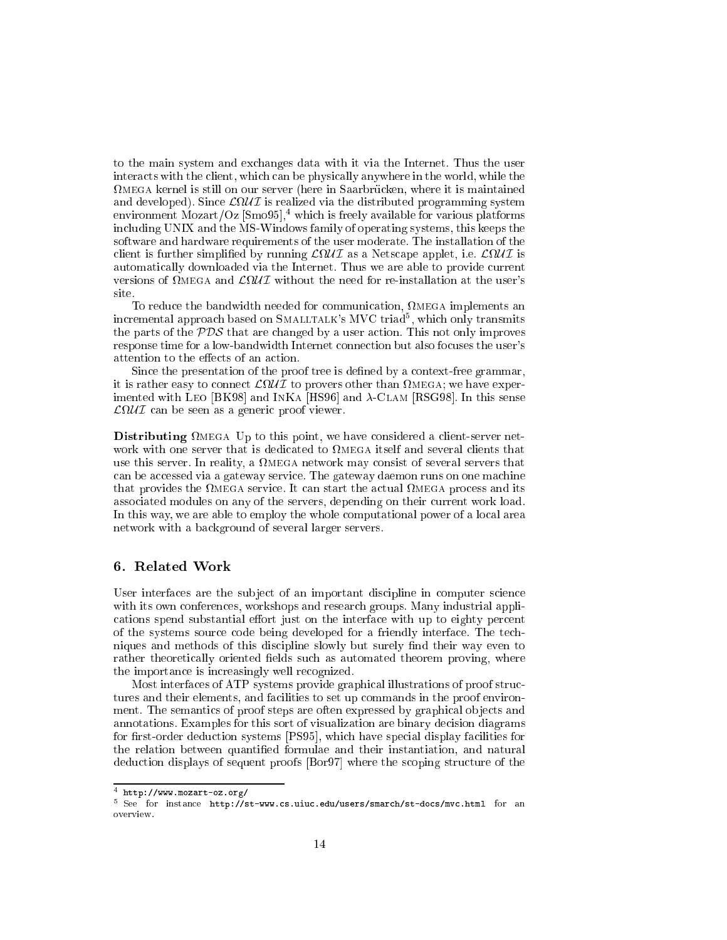to the main system and ex
hanges data with it via the Internet. Thus the user intera
ts with the lient, whi
h an be physi
ally anywhere in the world, while the mega kernel is still on our server (here in Saarbru
ken, where it is maintained and developed). Sin
e <sup>L</sup>U I is realized via the distributed programming system environment Mozart/Oz  $\lbrack \text{Smo95}\rbrack$ <sup>4</sup>, which is freely available for various platforms in
luding UNIX and the MS-Windows family of operating systems, this keeps the software and hardware requirements of the user moderate. The installation of the lient is further simplied by running <sup>L</sup>U I as a Nets
ape applet, i.e. <sup>L</sup>U I is automatically downloaded via the Internet. Thus we are able to provide current versions of  $\Omega$ MEGA and  $\mathcal{L}\Omega\mathcal{U}\mathcal{I}$  without the need for re-installation at the user's site.

ation, at the state in the bandwidth needed for the bandwidth needed for the problem in the state of the state of the state of the state of the state of the state of the state of the state of the state of the state of the incremental approach based on SMALLTALK's MVC triad<sup>5</sup>, which only transmits the parts of the  $PDS$  that are changed by a user action. This not only improves response time for a low-bandwidth Internet connection but also focuses the user's attention to the effects of an action.

Since the presentation of the proof tree is defined by a context-free grammar, it is rather easy to onne
t <sup>L</sup>U I to provers other than mega; we have experimented with LEO [BK98] and INKA [HS96] and  $\lambda$ -CLAM [RSG98]. In this sense L U I an be seen as a generi proof viewer.

Distributing mega Up to this point, we have onsidered a lient-server netuse this server. In reality, a mega network may onsist of several servers that can be accessed via a gateway service. The gateway daemon runs on one machine that provides the finite start the and it is and it in a start the and it is provided the and associated modules on any of the servers, depending on their current work load. In this way, we are able to employ the whole computational power of a local area network with a ba
kground of several larger servers.

#### 6. Related Work

User interfaces are the subject of an important discipline in computer science with its own onferen
es, workshops and resear
h groups. Many industrial appli cations spend substantial effort just on the interface with up to eighty percent of the systems sour
e ode being developed for a friendly interfa
e. The te
hniques and methods of this discipline slowly but surely find their way even to rather theoretically oriented fields such as automated theorem proving, where the importan
e is in
reasingly well re
ognized.

Most interfaces of ATP systems provide graphical illustrations of proof structures and their elements, and facilities to set up commands in the proof environment. The semantics of proof steps are often expressed by graphical objects and annotations. Examples for this sort of visualization are binary decision diagrams for first-order deduction systems [PS95], which have special display facilities for the relation between quantied formulae and their instantiation, and natural deduction displays of sequent proofs [Bor97] where the scoping structure of the

<sup>4</sup> http://www.mozart-oz.org/

<sup>-</sup> See for instance nttp://st-www.cs.uiuc.edu/users/smarch/st-docs/mvc.ntml for an overview.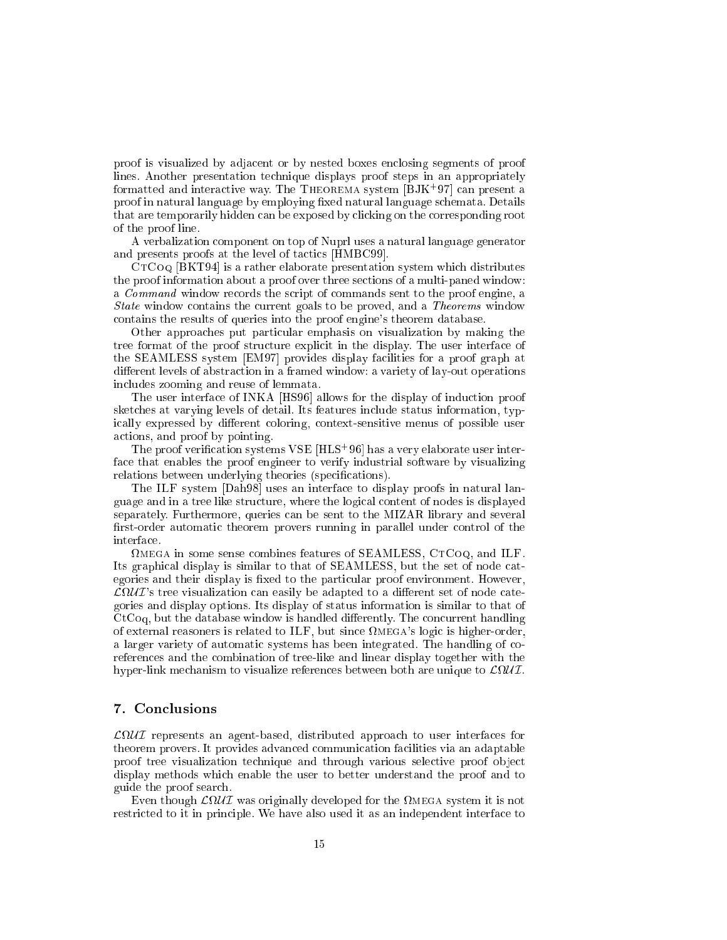proof is visualized by adja
ent or by nested boxes en
losing segments of proof lines. Another presentation te
hnique displays proof steps in an appropriately formatted and interactive way. The THEOREMA system  $[BJK^+97]$  can present a proof in natural language by employing fixed natural language schemata. Details that are temporarily hidden can be exposed by clicking on the corresponding root of the proof line.

A verbalization omponent on top of Nuprl uses a natural language generator and presents proofs at the level of tactics [HMBC99].

CTCoQ [BKT94] is a rather elaborate presentation system which distributes the proof information about a proof over three se
tions of a multi-paned window: a *Command* window records the script of commands sent to the proof engine, a State window ontains the urrent goals to be proved, and a Theorems window ontains the results of queries into the proof engine's theorem database.

Other approaches put particular emphasis on visualization by making the tree format of the proof structure explicit in the display. The user interface of the SEAMLESS system [EM97] provides display facilities for a proof graph at different levels of abstraction in a framed window: a variety of lay-out operations in
ludes zooming and reuse of lemmata.

The user interface of INKA [HS96] allows for the display of induction proof sket
hes at varying levels of detail. Its features in
lude status information, typically expressed by different coloring, context-sensitive menus of possible user a
tions, and proof by pointing.

The proof verification systems  $VSE$  [HLS<sup>+</sup>96] has a very elaborate user interfa
e that enables the proof engineer to verify industrial software by visualizing relations between underlying theories (specifications).

The ILF system [Dah98] uses an interface to display proofs in natural language and in a tree like stru
ture, where the logi
al ontent of nodes is displayed separately. Furthermore, queries an be sent to the MIZAR library and several first-order automatic theorem provers running in parallel under control of the interface.

 mega in some sense ombines features of SEAMLESS, CtCoq, and ILF. Its graphical display is similar to that of SEAMLESS, but the set of node categories and their display is fixed to the particular proof environment. However,  $\mathcal{L}\Omega\mathcal{U}\mathcal{I}$ 's tree visualization can easily be adapted to a different set of node categories and display options. Its display of status information is similar to that of  $CtCoq$ , but the database window is handled differently. The concurrent handling of external reasoners is related to ILF, but since  $\Omega_{\text{MEGA}}$ 's logic is higher-order, a larger variety of automatic systems has been integrated. The handling of coreferen
es and the ombination of tree-like and linear display together with the hyper-link me
hanism to visualize referen
es between both are unique to <sup>L</sup>U I.

#### 7. Con
lusions

L U I represents an agent-based, distributed approa
h to user interfa
es for theorem provers. It provides advan
ed ommuni
ation fa
ilities via an adaptable proof tree visualization technique and through various selective proof object display methods whi
h enable the user to better understand the proof and to guide the proof sear
h.

Even though <sup>L</sup>U I was originally developed for the mega system it is not restricted to it in principle. We have also used it as an independent interface to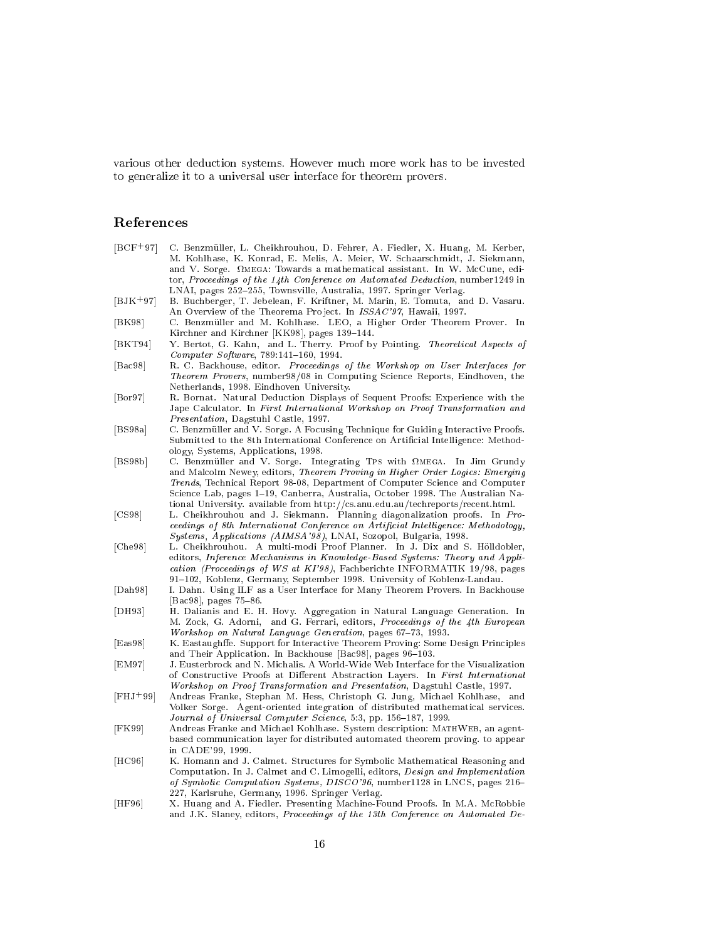various other deduction systems. However much much has to be invested to be invested to be invested to be inves to generalize it to a universal user interfa
e for theorem provers.

## Referen
es

| $[BCF+97]$                    | C. Benzmüller, L. Cheikhrouhou, D. Fehrer, A. Fiedler, X. Huang, M. Kerber,<br>M. Kohlhase, K. Konrad, E. Melis, A. Meier, W. Schaarschmidt, J. Siekmann,<br>and V. Sorge. $\Omega_{\text{MEGA}}$ : Towards a mathematical assistant. In W. McCune, edi-<br>tor, Proceedings of the 14th Conference on Automated Deduction, number 1249 in                                                                                          |
|-------------------------------|-------------------------------------------------------------------------------------------------------------------------------------------------------------------------------------------------------------------------------------------------------------------------------------------------------------------------------------------------------------------------------------------------------------------------------------|
|                               | LNAI, pages 252-255, Townsville, Australia, 1997. Springer Verlag.                                                                                                                                                                                                                                                                                                                                                                  |
| $[BJK^+97]$                   | B. Buchberger, T. Jebelean, F. Kriftner, M. Marin, E. Tomuta, and D. Vasaru.<br>An Overview of the Theorema Project. In ISSAC'97, Hawaii, 1997.                                                                                                                                                                                                                                                                                     |
| [BK98]                        | C. Benzmüller and M. Kohlhase. LEO, a Higher Order Theorem Prover.<br>In<br>Kirchner and Kirchner [KK98], pages 139–144.                                                                                                                                                                                                                                                                                                            |
| [BKT94]                       | Y. Bertot, G. Kahn, and L. Therry. Proof by Pointing. Theoretical Aspects of<br>$Computer\ Software, 789:141-160, 1994.$                                                                                                                                                                                                                                                                                                            |
| $[{\rm Bac98}]$               | R. C. Backhouse, editor. Proceedings of the Workshop on User Interfaces for<br><i>Theorem Provers</i> , number98/08 in Computing Science Reports, Eindhoven, the<br>Netherlands, 1998. Eindhoven University.                                                                                                                                                                                                                        |
| $\vert$ Bor97                 | R. Bornat. Natural Deduction Displays of Sequent Proofs: Experience with the<br>Jape Calculator. In First International Workshop on Proof Transformation and<br><i>Presentation</i> , Dagstuhl Castle, 1997.                                                                                                                                                                                                                        |
| [BS98a]                       | C. Benzmüller and V. Sorge. A Focusing Technique for Guiding Interactive Proofs.<br>Submitted to the 8th International Conference on Artificial Intelligence: Method-<br>ology, Systems, Applications, 1998.                                                                                                                                                                                                                        |
| [BS98b]                       | C. Benzmüller and V. Sorge. Integrating TPS with $\Omega_{\text{MEGA}}$ . In Jim Grundy<br>and Malcolm Newey, editors, Theorem Proving in Higher Order Logics: Emerging<br><i>Trends</i> , Technical Report 98-08, Department of Computer Science and Computer<br>Science Lab, pages 1–19, Canberra, Australia, October 1998. The Australian Na-<br>tional University. available from http://cs.anu.edu.au/techreports/recent.html. |
| [CS98]                        | L. Cheikhrouhou and J. Siekmann. Planning diagonalization proofs.<br>In $Pro-$<br>ceedings of 8th International Conference on Artificial Intelligence: Methodology,<br><i>Systems, Applications (AIMSA'98)</i> , LNAI, Sozopol, Bulgaria, 1998.                                                                                                                                                                                     |
| Che98                         | L. Cheikhrouhou. A multi-modi Proof Planner. In J. Dix and S. Hölldobler,<br>editors, Inference Mechanisms in Knowledge-Based Systems: Theory and Appli-<br>cation (Proceedings of WS at KI'98), Fachberichte INFORMATIK 19/98, pages<br>91–102, Koblenz, Germany, September 1998. University of Koblenz-Landau.                                                                                                                    |
| $\left[ \text{Dah98} \right]$ | I. Dahn. Using ILF as a User Interface for Many Theorem Provers. In Backhouse<br> Bac98 , pages 75–86.                                                                                                                                                                                                                                                                                                                              |
| DH93                          | H. Dalianis and E. H. Hovy. Aggregation in Natural Language Generation. In<br>M. Zock, G. Adorni, and G. Ferrari, editors, <i>Proceedings of the 4th European</i><br>Workshop on Natural Language Generation, pages 67-73, 1993.                                                                                                                                                                                                    |
| [Eas98]                       | K. Eastaughffe. Support for Interactive Theorem Proving: Some Design Principles<br>and Their Application. In Backhouse [Bac98], pages 96-103.                                                                                                                                                                                                                                                                                       |
| [EM97]                        | J. Eusterbrock and N. Michalis. A World-Wide Web Interface for the Visualization<br>of Constructive Proofs at Different Abstraction Layers. In First International<br>Workshop on Proof Transformation and Presentation, Dagstuhl Castle, 1997.                                                                                                                                                                                     |
| $[FHJ+99]$                    | Andreas Franke, Stephan M. Hess, Christoph G. Jung, Michael Kohlhase, and<br>Volker Sorge. Agent-oriented integration of distributed mathematical services.<br>Journal of Universal Computer Science, 5:3, pp. 156-187, 1999.                                                                                                                                                                                                       |
| [FK99]                        | Andreas Franke and Michael Kohlhase. System description: MATHWEB, an agent-<br>based communication layer for distributed automated theorem proving, to appear<br>in CADE'99, 1999.                                                                                                                                                                                                                                                  |
| $[\text{HC}96]$               | K. Homann and J. Calmet. Structures for Symbolic Mathematical Reasoning and<br>Computation. In J. Calmet and C. Limogelli, editors, <i>Design and Implementation</i><br>of Symbolic Computation Systems, DISCO'96, number1128 in LNCS, pages 216–<br>227, Karlsruhe, Germany, 1996. Springer Verlag.                                                                                                                                |
| HF96                          | X. Huang and A. Fiedler. Presenting Machine-Found Proofs. In M.A. McRobbie<br>and J.K. Slaney, editors, <i>Proceedings of the 13th Conference on Automated De-</i>                                                                                                                                                                                                                                                                  |